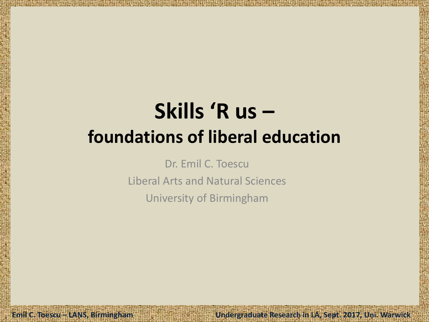# **Skills 'R us – foundations of liberal education**

Dr. Emil C. Toescu Liberal Arts and Natural Sciences University of Birmingham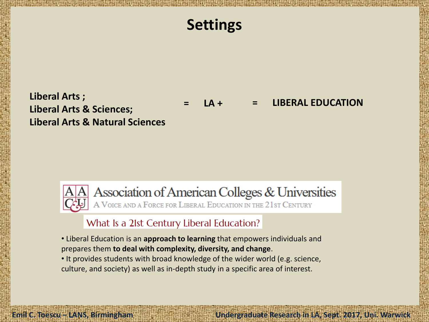### **Settings**

**= LA + = LIBERAL EDUCATION**

#### **Liberal Arts ; Liberal Arts & Sciences; Liberal Arts & Natural Sciences**

Association of American Colleges & Universities<br>A VOICE AND A FORCE FOR LIBERAL EDUCATION IN THE 21ST CENTURY

#### What Is a 21st Century Liberal Education?

- Liberal Education is an **approach to learning** that empowers individuals and prepares them **to deal with complexity, diversity, and change**.
- It provides students with broad knowledge of the wider world (e.g. science, culture, and society) as well as in-depth study in a specific area of interest.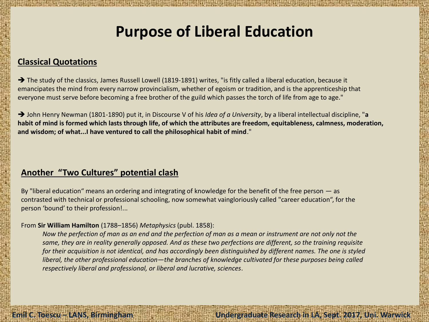### **Purpose of Liberal Education**

#### **Classical Quotations**

The study of the classics, James Russell Lowell (1819-1891) writes, "is fitly called a liberal education, because it emancipates the mind from every narrow provincialism, whether of egoism or tradition, and is the apprenticeship that everyone must serve before becoming a free brother of the guild which passes the torch of life from age to age."

 John Henry Newman (1801-1890) put it, in Discourse V of his *Idea of a University*, by a liberal intellectual discipline, "**a habit of mind is formed which lasts through life, of which the attributes are freedom, equitableness, calmness, moderation, and wisdom; of what...I have ventured to call the philosophical habit of mind**."

#### **Another "Two Cultures" potential clash**

By "liberal education" means an ordering and integrating of knowledge for the benefit of the free person — as contrasted with technical or professional schooling, now somewhat vaingloriously called "career education", for the person 'bound' to their profession!...

#### From **Sir William Hamilton** (1788–1856) *Metaphysics* (publ. 1858):

*Now the perfection of man as an end and the perfection of man as a mean or instrument are not only not the same, they are in reality generally opposed. And as these two perfections are different, so the training requisite for their acquisition is not identical, and has accordingly been distinguished by different names. The one is styled liberal, the other professional education—the branches of knowledge cultivated for these purposes being called respectively liberal and professional, or liberal and lucrative, sciences*.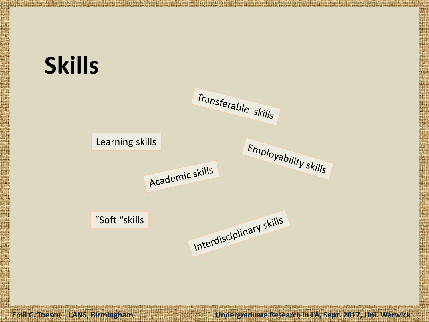# **Skills**

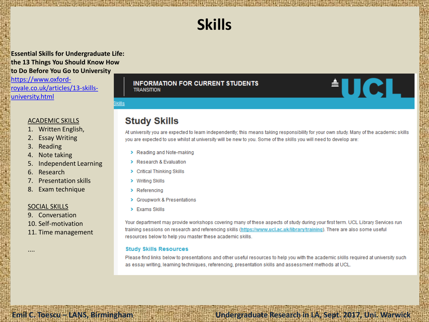### **Skills**

**Essential Skills for Undergraduate Life: the 13 Things You Should Know How to Do Before You Go to University** [https://www.oxford-](https://www.oxford-royale.co.uk/articles/13-skills-university.html)

[royale.co.uk/articles/13-skills](https://www.oxford-royale.co.uk/articles/13-skills-university.html)[university.html](https://www.oxford-royale.co.uk/articles/13-skills-university.html)

#### ACADEMIC SKILLS

- 1. Written English,
- 2. Essay Writing
- 3. Reading
- 4. Note taking
- 5. Independent Learning
- 6. Research
- 7. Presentation skills
- 8. Exam technique

#### SOCIAL SKILLS

....

- 9. Conversation
- 10. Self-motivation
- 11. Time management

**INFORMATION FOR CURRENT STUDENTS TRANSITION** 

**Emil C. Toescu – LANS, Birmingham Undergraduate Research in LA, Sept. 2017, Uni. Warwick** 

Bkills

#### **Study Skills**

At university you are expected to learn independently; this means taking responsibility for your own study. Many of the academic skills vou are expected to use whilst at university will be new to you. Some of the skills you will need to develop are:

<u><sup>A</sup>UCL</u>

- > Reading and Note-making
- > Research & Evaluation
- > Critical Thinking Skills
- > Writing Skills
- $\triangleright$  Referencing
- > Groupwork & Presentations
- $\triangleright$  Fxams Skills

Your department may provide workshops covering many of these aspects of study during your first term. UCL Library Services run training sessions on research and referencing skills (https://www.ucl.ac.uk/library/training). There are also some useful resources below to help you master these academic skills.

#### **Study Skills Resources**

Please find links below to presentations and other useful resources to help you with the academic skills required at university such as essay writing, learning techniques, referencing, presentation skills and assessment methods at UCL.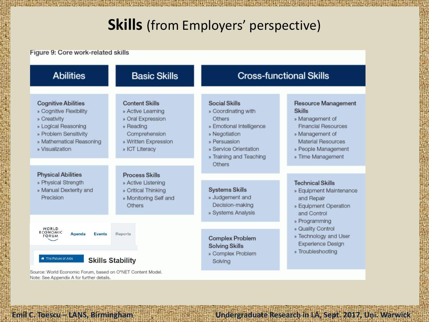### **Skills** (from Employers' perspective)

Figure 9: Core work-related skills

| <b>Abilities</b>                                                                                                                                                     | <b>Basic Skills</b>                                                                                                                     | <b>Cross-functional Skills</b>                                                                                                                                                   |                                                                                                                                                                            |  |
|----------------------------------------------------------------------------------------------------------------------------------------------------------------------|-----------------------------------------------------------------------------------------------------------------------------------------|----------------------------------------------------------------------------------------------------------------------------------------------------------------------------------|----------------------------------------------------------------------------------------------------------------------------------------------------------------------------|--|
| <b>Cognitive Abilities</b><br>» Cognitive Flexibility<br>» Creativity<br>» Logical Reasoning<br>» Problem Sensitivity<br>» Mathematical Reasoning<br>» Visualization | <b>Content Skills</b><br>» Active Learning<br>» Oral Expression<br>» Reading<br>Comprehension<br>» Written Expression<br>» ICT Literacy | Social Skills<br>» Coordinating with<br>Others<br>» Emotional Intelligence<br>» Negotiation<br>» Persuasion<br>» Service Orientation<br>» Training and Teaching<br><b>Others</b> | Resource Management<br><b>Skills</b><br>» Management of<br><b>Financial Resources</b><br>» Management of<br>Material Resources<br>» People Management<br>» Time Management |  |
| <b>Physical Abilities</b><br>» Physical Strength<br>» Manual Dexterity and<br>Precision                                                                              | Process Skills<br>» Active Listening<br>» Critical Thinking<br>» Monitoring Self and<br>Others                                          | <b>Systems Skills</b><br>» Judgement and<br>Decision-making<br>» Systems Analysis                                                                                                | <b>Technical Skills</b><br>» Equipment Maintenance<br>and Repair<br>» Equipment Operation<br>and Control                                                                   |  |
| WORLD<br><b>ECONOMIC</b><br>Agenda<br><b>Events</b><br><b>FORUM</b><br>The Future of Jobs                                                                            | <b>Reports</b><br><b>Skills Stability</b>                                                                                               | <b>Complex Problem</b><br><b>Solving Skills</b><br>» Complex Problem<br>Solving                                                                                                  | » Programming<br>» Quality Control<br>» Technology and User<br>Experience Design<br>» Troubleshooting                                                                      |  |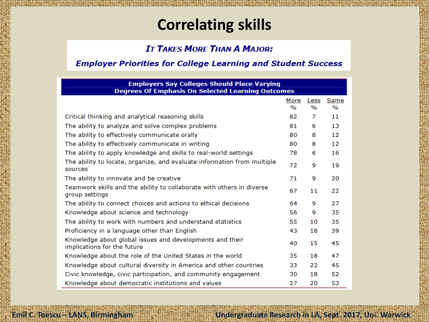### **Correlating skills**

#### **IT TAKES MORE THAN A MAJOR:**

#### **Employer Priorities for College Learning and Student Success**

| <b>Employers Say Colleges Should Place Varying</b><br><b>Degrees Of Emphasis On Selected Learning Outcomes</b> |      |      |      |  |
|----------------------------------------------------------------------------------------------------------------|------|------|------|--|
|                                                                                                                | More | Less | Same |  |
|                                                                                                                | %    | %    | $\%$ |  |
| Critical thinking and analytical reasoning skills                                                              | 82   | 7    | 11   |  |
| The ability to analyze and solve complex problems                                                              | 81   | 6    | 13   |  |
| The ability to effectively communicate orally                                                                  | 80   | 8    | 12   |  |
| The ability to effectively communicate in writing                                                              | 80   | 8    | 12   |  |
| The ability to apply knowledge and skills to real-world settings                                               | 78   | 6    | 16   |  |
| The ability to locate, organize, and evaluate information from multiple<br>sources                             | 72   | 9    | 19   |  |
| The ability to innovate and be creative                                                                        | 71   | 9    | 20   |  |
| Teamwork skills and the ability to collaborate with others in diverse<br>group settings                        | 67   | 11   | 22   |  |
| The ability to connect choices and actions to ethical decisions                                                | 64   | 9    | 27   |  |
| Knowledge about science and technology                                                                         | 56   | 9    | 35   |  |
| The ability to work with numbers and understand statistics                                                     | 55   | 10   | 35   |  |
| Proficiency in a language other than English                                                                   | 43   | 18   | 39   |  |
| Knowledge about global issues and developments and their<br>implications for the future                        | 40   | 15   | 45   |  |
| Knowledge about the role of the United States in the world                                                     | 35   | 18   | 47   |  |
| Knowledge about cultural diversity in America and other countries                                              | 33   | 22   | 45   |  |
| Civic knowledge, civic participation, and community engagement                                                 | 30   | 18   | 52   |  |
| Knowledge about democratic institutions and values                                                             | 27   | 20   | 53   |  |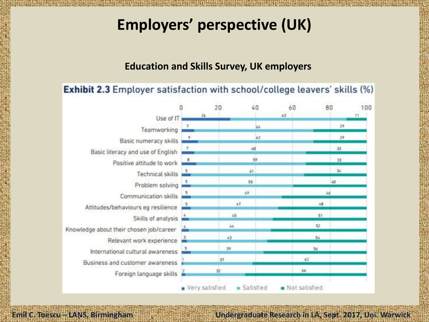### **Employers' perspective (UK)**

#### **Education and Skills Survey, UK employers**

#### Exhibit 2.3 Employer satisfaction with school/college leavers' skills (%)

|                                         |                | 20        | 40 | 60            | 80 | 100 |
|-----------------------------------------|----------------|-----------|----|---------------|----|-----|
| Use of IT                               | 26             |           |    | 63            |    | 11  |
| Teamworking                             |                |           | 64 |               | 29 |     |
| Basic numeracy skills                   |                |           | 62 |               | 29 |     |
| Basic literacy and use of English       |                |           | 60 |               | 33 |     |
| Positive attitude to work               | 8              |           | 59 |               | 33 |     |
| Technical skills                        |                | 61        |    |               | 34 |     |
| Problem solving                         |                | 55        |    |               | 40 |     |
| Communication skills                    |                | 49        |    |               | 46 |     |
| Attitudes/behaviours eg resilience      |                | 47        |    | 48            |    |     |
| Skills of analysis                      |                | 45        |    | 51            |    |     |
| Knowledge about their chosen job/career |                | 44        |    | 52            |    |     |
| Relevant work experience                |                | 43        |    | 54            |    |     |
| International cultural awareness        |                | 39        |    | 56            |    |     |
| Business and customer awareness         |                | 37        |    | 62            |    |     |
| Foreign language skills                 |                | 32        |    | 66            |    |     |
|                                         | Very satisfied | Satisfied |    | Not satisfied |    |     |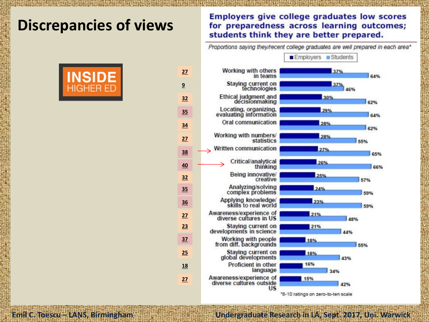### **Discrepancies of views**



#### **Employers give college graduates low scores** for preparedness across learning outcomes; students think they are better prepared.

Proportions saying they/recent college graduates are well prepared in each area\*



\*8-10 ratings on zero-to-ten scale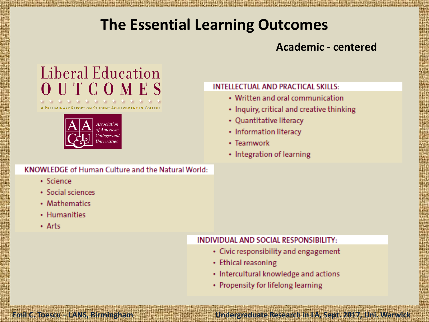### **The Essential Learning Outcomes**

### **Academic - centered**

### Liberal Education OUTCOMES

NARY REPORT ON STUDENT ACHIEVEMENT IN COLLEGE



#### **KNOWLEDGE of Human Culture and the Natural World:**

#### · Science

- Social sciences
- Mathematics
- Humanities
- $\cdot$  Arts

#### **INTELLECTUAL AND PRACTICAL SKILLS:**

- Written and oral communication
- Inquiry, critical and creative thinking
- Quantitative literacy
- Information literacy
- Teamwork
- Integration of learning

#### **INDIVIDUAL AND SOCIAL RESPONSIBILITY:**

- Civic responsibility and engagement
- Ethical reasoning

- Intercultural knowledge and actions
- Propensity for lifelong learning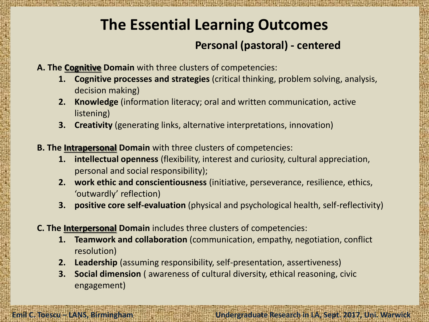### **The Essential Learning Outcomes**

### **Personal (pastoral) - centered**

- **A. The Cognitive Domain** with three clusters of competencies:
	- **1. Cognitive processes and strategies** (critical thinking, problem solving, analysis, decision making)
	- **2. Knowledge** (information literacy; oral and written communication, active listening)
	- **3. Creativity** (generating links, alternative interpretations, innovation)
- **B. The Intrapersonal Domain** with three clusters of competencies:
	- **1. intellectual openness** (flexibility, interest and curiosity, cultural appreciation, personal and social responsibility);
	- **2. work ethic and conscientiousness** (initiative, perseverance, resilience, ethics, 'outwardly' reflection)
	- **3. positive core self-evaluation** (physical and psychological health, self-reflectivity)
- **C. The Interpersonal Domain** includes three clusters of competencies:
	- **1. Teamwork and collaboration** (communication, empathy, negotiation, conflict resolution)
	- **2. Leadership** (assuming responsibility, self-presentation, assertiveness)
	- **3. Social dimension** ( awareness of cultural diversity, ethical reasoning, civic engagement)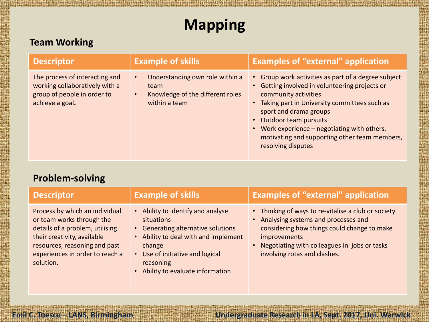## **Mapping**

### **Team Working**

| <b>Descriptor</b>                                                                                                  | <b>Example of skills</b>                                                                                               | <b>Examples of "external" application</b>                                                                                                                                                                                                                                                                                                                   |
|--------------------------------------------------------------------------------------------------------------------|------------------------------------------------------------------------------------------------------------------------|-------------------------------------------------------------------------------------------------------------------------------------------------------------------------------------------------------------------------------------------------------------------------------------------------------------------------------------------------------------|
| The process of interacting and<br>working collaboratively with a<br>group of people in order to<br>achieve a goal. | Understanding own role within a<br>$\bullet$<br>team<br>Knowledge of the different roles<br>$\bullet$<br>within a team | • Group work activities as part of a degree subject<br>• Getting involved in volunteering projects or<br>community activities<br>• Taking part in University committees such as<br>sport and drama groups<br>• Outdoor team pursuits<br>• Work experience - negotiating with others,<br>motivating and supporting other team members,<br>resolving disputes |

#### **Problem-solving**

| <b>Descriptor</b>                                                                                                                                                                                              | <b>Example of skills</b>                                                                                                                                                                                                            | <b>Examples of "external" application</b>                                                                                                                                                                                                          |
|----------------------------------------------------------------------------------------------------------------------------------------------------------------------------------------------------------------|-------------------------------------------------------------------------------------------------------------------------------------------------------------------------------------------------------------------------------------|----------------------------------------------------------------------------------------------------------------------------------------------------------------------------------------------------------------------------------------------------|
| Process by which an individual<br>or team works through the<br>details of a problem, utilising<br>their creativity, available<br>resources, reasoning and past<br>experiences in order to reach a<br>solution. | Ability to identify and analyse<br>$\bullet$<br>situations<br>• Generating alternative solutions<br>Ability to deal with and implement<br>change<br>• Use of initiative and logical<br>reasoning<br>Ability to evaluate information | • Thinking of ways to re-vitalise a club or society<br>• Analysing systems and processes and<br>considering how things could change to make<br><i>improvements</i><br>Negotiating with colleagues in jobs or tasks<br>involving rotas and clashes. |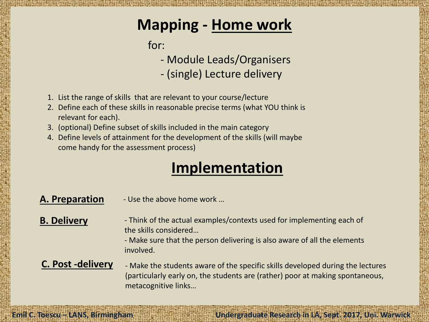### **Mapping - Home work**

for:

- Module Leads/Organisers

- (single) Lecture delivery

- 1. List the range of skills that are relevant to your course/lecture
- 2. Define each of these skills in reasonable precise terms (what YOU think is relevant for each).
- 3. (optional) Define subset of skills included in the main category
- 4. Define levels of attainment for the development of the skills (will maybe come handy for the assessment process)

### **Implementation**

**Emil C. Toescu – LANS, Birmingham Undergraduate Research in LA, Sept. 2017, Uni. Warwick** 

#### **A. Preparation** - Use the above home work …

#### **B. Delivery**

- Think of the actual examples/contexts used for implementing each of the skills considered…

- Make sure that the person delivering is also aware of all the elements involved.

#### **C. Post -delivery**

- Make the students aware of the specific skills developed during the lectures (particularly early on, the students are (rather) poor at making spontaneous, metacognitive links…